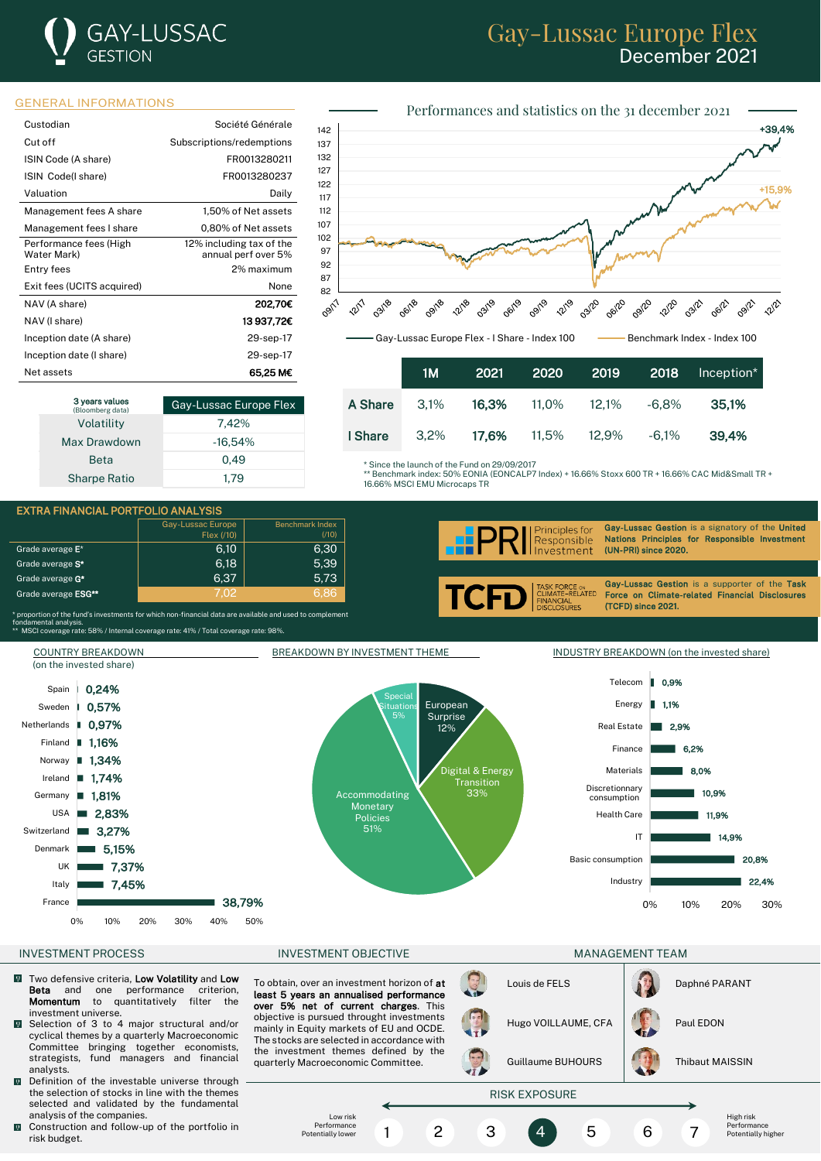# **GAY-LUSSAC** GESTION

# Gay-Lussac Europe Flex December 2021



| Custodian                             | Société Générale                                |
|---------------------------------------|-------------------------------------------------|
| Cut off                               | Subscriptions/redemptions                       |
| ISIN Code (A share)                   | FR0013280211                                    |
| ISIN Code(I share)                    | FR0013280237                                    |
| Valuation                             | Daily                                           |
| Management fees A share               | 1,50% of Net assets                             |
| Management fees I share               | 0.80% of Net assets                             |
| Performance fees (High<br>Water Mark) | 12% including tax of the<br>annual perf over 5% |
| Entry fees                            | 2% maximum                                      |
| Exit fees (UCITS acquired)            | None                                            |
| NAV (A share)                         | 202.70€                                         |
| NAV (I share)                         | 13937,72C                                       |
| Inception date (A share)              | 29-sep-17                                       |
| Inception date (I share)              | 29-sep-17                                       |
| Net assets                            | 65.25 M€                                        |

| 3 years values<br>(Bloomberg data) | Gay-Lussac Europe Flex |
|------------------------------------|------------------------|
| Volatility                         | 7.42%                  |
| Max Drawdown                       | $-16.54%$              |
| <b>Beta</b>                        | 0.49                   |
| <b>Sharpe Ratio</b>                | 1.79                   |



|         | 1M   | 2021                    | l 2020 ' |          | 2019 2018 | Inception* |
|---------|------|-------------------------|----------|----------|-----------|------------|
| A Share | 3.1% | 16.3%                   | 11.0%    | $12.1\%$ | -6.8%     | 35.1%      |
| I Share |      | 3,2% <b>17,6%</b> 11,5% |          | 12.9%    | -6.1%     | 39.4%      |

Since the launch of the Fund on 29/09/2017

\*\* Benchmark index: 50% EONIA (EONCALP7 Index) + 16.66% Stoxx 600 TR + 16.66% CAC Mid&Small TR + 16.66% MSCI EMU Microcaps TR





Gay-Lussac Gestion is a signatory of the United Principles for Nations Principles for Responsible Investment (UN-PRI) since 2020.

FINANCIAL<br>DISCLOSURES

i

Gay-Lussac Gestion is a supporter of the Task Force on Climate-related Financial Disclosures (TCFD) since 2021.

\* proportion of the fund's investments for which non-financial data are available and used to complement<br>fondamental analysis.<br>\*\* MSCI coverage rate: 58% / Internal coverage rate: 41% / Total coverage rate: 98%.



- $\sqrt{2}$ Two defensive criteria, Low Volatility and Low Beta and one performance criterion, Momentum to quantitatively filter the investment universe.
- $\overline{0}$ Selection of 3 to 4 major structural and/or cyclical themes by a quarterly Macroeconomic Committee bringing together economists, strategists, fund managers and financial analysts.
- **D** Definition of the investable universe through the selection of stocks in line with the themes selected and validated by the fundamental analysis of the companies.
- Construction and follow-up of the portfolio in risk budget.

To obtain, over an investment horizon of at least 5 years an annualised performance over 5% net of current charges. This objective is pursued throught investments mainly in Equity markets of EU and OCDE. The stocks are selected in accordance with the investment themes defined by the quarterly Macroeconomic Committee.

Hugo VOILLAUME, CFA | Paul EDON Guillaume BUHOURS | Thibaut MAISSIN



Louis de FELS **Daphné PARANT** 

High risk Performance Potentially higher

## RISK EXPOSURE

1 2 3 4 5 6 7

Low risk Performance Potentially lower